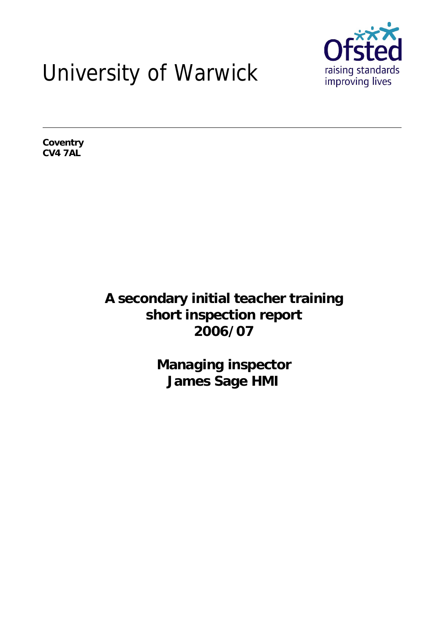# University of Warwick



**Coventry CV4 7AL**

> **A secondary initial teacher training short inspection report 2006/07**

> > **Managing inspector James Sage HMI**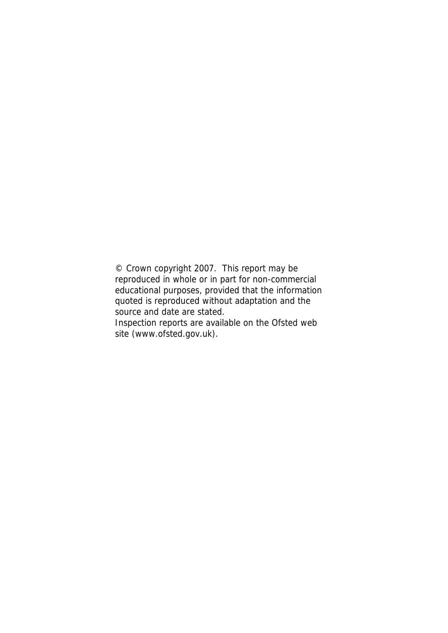© Crown copyright 2007. This report may be reproduced in whole or in part for non-commercial educational purposes, provided that the information quoted is reproduced without adaptation and the source and date are stated. Inspection reports are available on the Ofsted web site (www.ofsted.gov.uk).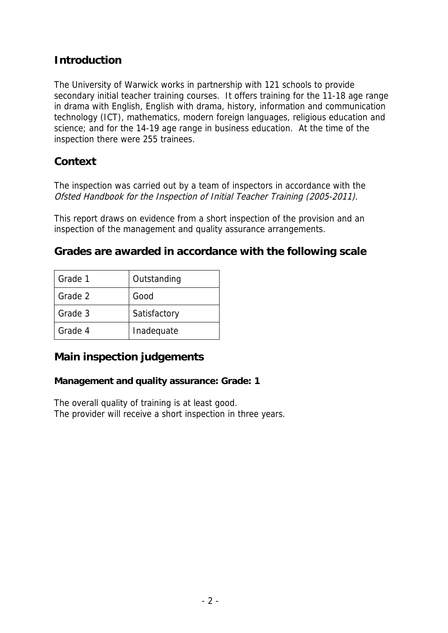## **Introduction**

The University of Warwick works in partnership with 121 schools to provide secondary initial teacher training courses. It offers training for the 11-18 age range in drama with English, English with drama, history, information and communication technology (ICT), mathematics, modern foreign languages, religious education and science; and for the 14-19 age range in business education. At the time of the inspection there were 255 trainees.

#### **Context**

The inspection was carried out by a team of inspectors in accordance with the Ofsted Handbook for the Inspection of Initial Teacher Training (2005-2011).

This report draws on evidence from a short inspection of the provision and an inspection of the management and quality assurance arrangements.

**Grades are awarded in accordance with the following scale**

| Grade 1 | Outstanding  |
|---------|--------------|
| Grade 2 | Good         |
| Grade 3 | Satisfactory |
| Grade 4 | Inadequate   |

#### **Main inspection judgements**

**Management and quality assurance: Grade: 1**

The overall quality of training is at least good. The provider will receive a short inspection in three years.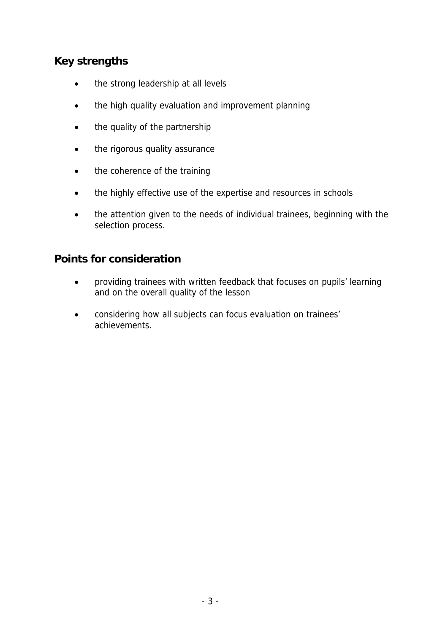## **Key strengths**

- the strong leadership at all levels
- the high quality evaluation and improvement planning
- the quality of the partnership
- the rigorous quality assurance
- the coherence of the training
- the highly effective use of the expertise and resources in schools
- the attention given to the needs of individual trainees, beginning with the selection process.

#### **Points for consideration**

- providing trainees with written feedback that focuses on pupils' learning and on the overall quality of the lesson
- considering how all subjects can focus evaluation on trainees' achievements.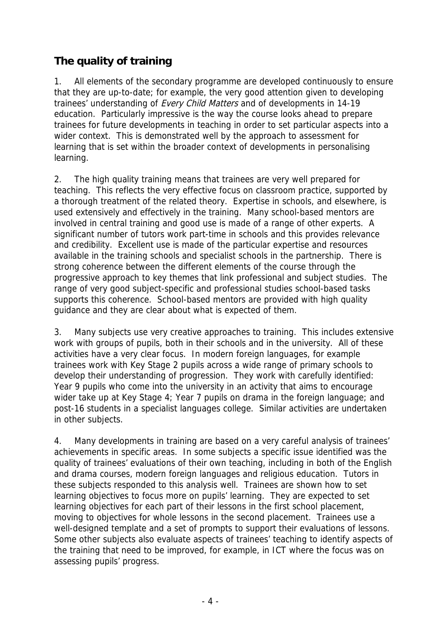## **The quality of training**

1. All elements of the secondary programme are developed continuously to ensure that they are up-to-date; for example, the very good attention given to developing trainees' understanding of Every Child Matters and of developments in 14-19 education. Particularly impressive is the way the course looks ahead to prepare trainees for future developments in teaching in order to set particular aspects into a wider context. This is demonstrated well by the approach to assessment for learning that is set within the broader context of developments in personalising learning.

2. The high quality training means that trainees are very well prepared for teaching. This reflects the very effective focus on classroom practice, supported by a thorough treatment of the related theory. Expertise in schools, and elsewhere, is used extensively and effectively in the training. Many school-based mentors are involved in central training and good use is made of a range of other experts. A significant number of tutors work part-time in schools and this provides relevance and credibility. Excellent use is made of the particular expertise and resources available in the training schools and specialist schools in the partnership. There is strong coherence between the different elements of the course through the progressive approach to key themes that link professional and subject studies. The range of very good subject-specific and professional studies school-based tasks supports this coherence. School-based mentors are provided with high quality guidance and they are clear about what is expected of them.

3. Many subjects use very creative approaches to training. This includes extensive work with groups of pupils, both in their schools and in the university. All of these activities have a very clear focus. In modern foreign languages, for example trainees work with Key Stage 2 pupils across a wide range of primary schools to develop their understanding of progression. They work with carefully identified: Year 9 pupils who come into the university in an activity that aims to encourage wider take up at Key Stage 4; Year 7 pupils on drama in the foreign language; and post-16 students in a specialist languages college. Similar activities are undertaken in other subjects.

4. Many developments in training are based on a very careful analysis of trainees' achievements in specific areas. In some subjects a specific issue identified was the quality of trainees' evaluations of their own teaching, including in both of the English and drama courses, modern foreign languages and religious education. Tutors in these subjects responded to this analysis well. Trainees are shown how to set learning objectives to focus more on pupils' learning. They are expected to set learning objectives for each part of their lessons in the first school placement, moving to objectives for whole lessons in the second placement. Trainees use a well-designed template and a set of prompts to support their evaluations of lessons. Some other subjects also evaluate aspects of trainees' teaching to identify aspects of the training that need to be improved, for example, in ICT where the focus was on assessing pupils' progress.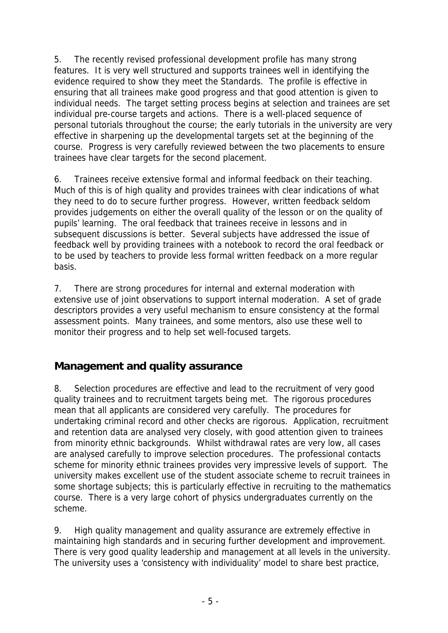5. The recently revised professional development profile has many strong features. It is very well structured and supports trainees well in identifying the evidence required to show they meet the Standards. The profile is effective in ensuring that all trainees make good progress and that good attention is given to individual needs. The target setting process begins at selection and trainees are set individual pre-course targets and actions. There is a well-placed sequence of personal tutorials throughout the course; the early tutorials in the university are very effective in sharpening up the developmental targets set at the beginning of the course. Progress is very carefully reviewed between the two placements to ensure trainees have clear targets for the second placement.

6. Trainees receive extensive formal and informal feedback on their teaching. Much of this is of high quality and provides trainees with clear indications of what they need to do to secure further progress. However, written feedback seldom provides judgements on either the overall quality of the lesson or on the quality of pupils' learning. The oral feedback that trainees receive in lessons and in subsequent discussions is better. Several subjects have addressed the issue of feedback well by providing trainees with a notebook to record the oral feedback or to be used by teachers to provide less formal written feedback on a more regular basis.

7. There are strong procedures for internal and external moderation with extensive use of joint observations to support internal moderation. A set of grade descriptors provides a very useful mechanism to ensure consistency at the formal assessment points. Many trainees, and some mentors, also use these well to monitor their progress and to help set well-focused targets.

## **Management and quality assurance**

8. Selection procedures are effective and lead to the recruitment of very good quality trainees and to recruitment targets being met. The rigorous procedures mean that all applicants are considered very carefully. The procedures for undertaking criminal record and other checks are rigorous. Application, recruitment and retention data are analysed very closely, with good attention given to trainees from minority ethnic backgrounds. Whilst withdrawal rates are very low, all cases are analysed carefully to improve selection procedures. The professional contacts scheme for minority ethnic trainees provides very impressive levels of support. The university makes excellent use of the student associate scheme to recruit trainees in some shortage subjects; this is particularly effective in recruiting to the mathematics course. There is a very large cohort of physics undergraduates currently on the scheme.

9. High quality management and quality assurance are extremely effective in maintaining high standards and in securing further development and improvement. There is very good quality leadership and management at all levels in the university. The university uses a 'consistency with individuality' model to share best practice,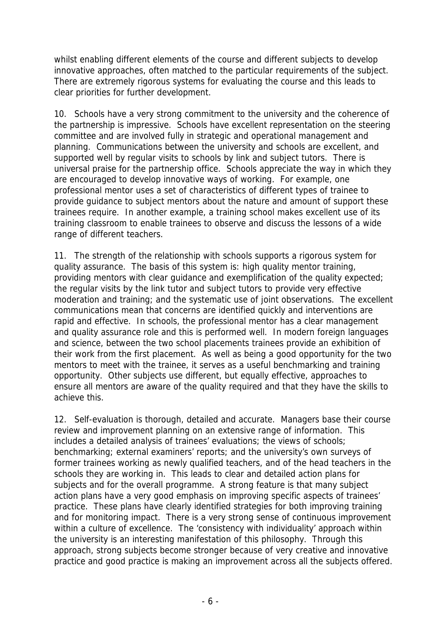whilst enabling different elements of the course and different subjects to develop innovative approaches, often matched to the particular requirements of the subject. There are extremely rigorous systems for evaluating the course and this leads to clear priorities for further development.

10. Schools have a very strong commitment to the university and the coherence of the partnership is impressive. Schools have excellent representation on the steering committee and are involved fully in strategic and operational management and planning. Communications between the university and schools are excellent, and supported well by regular visits to schools by link and subject tutors. There is universal praise for the partnership office. Schools appreciate the way in which they are encouraged to develop innovative ways of working. For example, one professional mentor uses a set of characteristics of different types of trainee to provide guidance to subject mentors about the nature and amount of support these trainees require. In another example, a training school makes excellent use of its training classroom to enable trainees to observe and discuss the lessons of a wide range of different teachers.

11. The strength of the relationship with schools supports a rigorous system for quality assurance. The basis of this system is: high quality mentor training, providing mentors with clear guidance and exemplification of the quality expected; the regular visits by the link tutor and subject tutors to provide very effective moderation and training; and the systematic use of joint observations. The excellent communications mean that concerns are identified quickly and interventions are rapid and effective. In schools, the professional mentor has a clear management and quality assurance role and this is performed well. In modern foreign languages and science, between the two school placements trainees provide an exhibition of their work from the first placement. As well as being a good opportunity for the two mentors to meet with the trainee, it serves as a useful benchmarking and training opportunity. Other subjects use different, but equally effective, approaches to ensure all mentors are aware of the quality required and that they have the skills to achieve this.

12. Self-evaluation is thorough, detailed and accurate. Managers base their course review and improvement planning on an extensive range of information. This includes a detailed analysis of trainees' evaluations; the views of schools; benchmarking; external examiners' reports; and the university's own surveys of former trainees working as newly qualified teachers, and of the head teachers in the schools they are working in. This leads to clear and detailed action plans for subjects and for the overall programme. A strong feature is that many subject action plans have a very good emphasis on improving specific aspects of trainees' practice. These plans have clearly identified strategies for both improving training and for monitoring impact. There is a very strong sense of continuous improvement within a culture of excellence. The 'consistency with individuality' approach within the university is an interesting manifestation of this philosophy. Through this approach, strong subjects become stronger because of very creative and innovative practice and good practice is making an improvement across all the subjects offered.